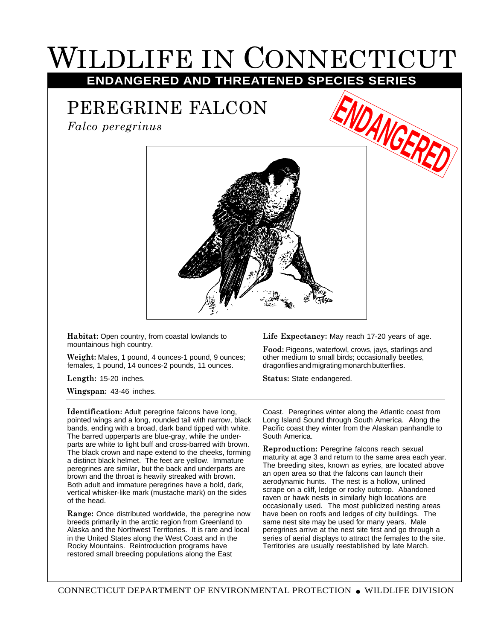## WILDLIFE IN CONNECTICUT **ENDANGERED AND THREATENED SPECIES SERIES**

## PEREGRINE FALCON

*Falco peregrinus*





**Habitat:** Open country, from coastal lowlands to mountainous high country.

**Weight:** Males, 1 pound, 4 ounces-1 pound, 9 ounces; females, 1 pound, 14 ounces-2 pounds, 11 ounces.

**Length:** 15-20 inches.

**Wingspan:** 43-46 inches.

**Identification:** Adult peregrine falcons have long, pointed wings and a long, rounded tail with narrow, black bands, ending with a broad, dark band tipped with white. The barred upperparts are blue-gray, while the underparts are white to light buff and cross-barred with brown. The black crown and nape extend to the cheeks, forming a distinct black helmet. The feet are yellow. Immature peregrines are similar, but the back and underparts are brown and the throat is heavily streaked with brown. Both adult and immature peregrines have a bold, dark, vertical whisker-like mark (mustache mark) on the sides of the head.

**Range:** Once distributed worldwide, the peregrine now breeds primarily in the arctic region from Greenland to Alaska and the Northwest Territories. It is rare and local in the United States along the West Coast and in the Rocky Mountains. Reintroduction programs have restored small breeding populations along the East

**Life Expectancy:** May reach 17-20 years of age.

**Food:** Pigeons, waterfowl, crows, jays, starlings and other medium to small birds; occasionally beetles, dragonflies and migrating monarch butterflies.

**Status:** State endangered.

Coast. Peregrines winter along the Atlantic coast from Long Island Sound through South America. Along the Pacific coast they winter from the Alaskan panhandle to South America.

**Reproduction:** Peregrine falcons reach sexual maturity at age 3 and return to the same area each year. The breeding sites, known as eyries, are located above an open area so that the falcons can launch their aerodynamic hunts. The nest is a hollow, unlined scrape on a cliff, ledge or rocky outcrop. Abandoned raven or hawk nests in similarly high locations are occasionally used. The most publicized nesting areas have been on roofs and ledges of city buildings. The same nest site may be used for many years. Male peregrines arrive at the nest site first and go through a series of aerial displays to attract the females to the site. Territories are usually reestablished by late March.

CONNECTICUT DEPARTMENT OF ENVIRONMENTAL PROTECTION ● WILDLIFE DIVISION